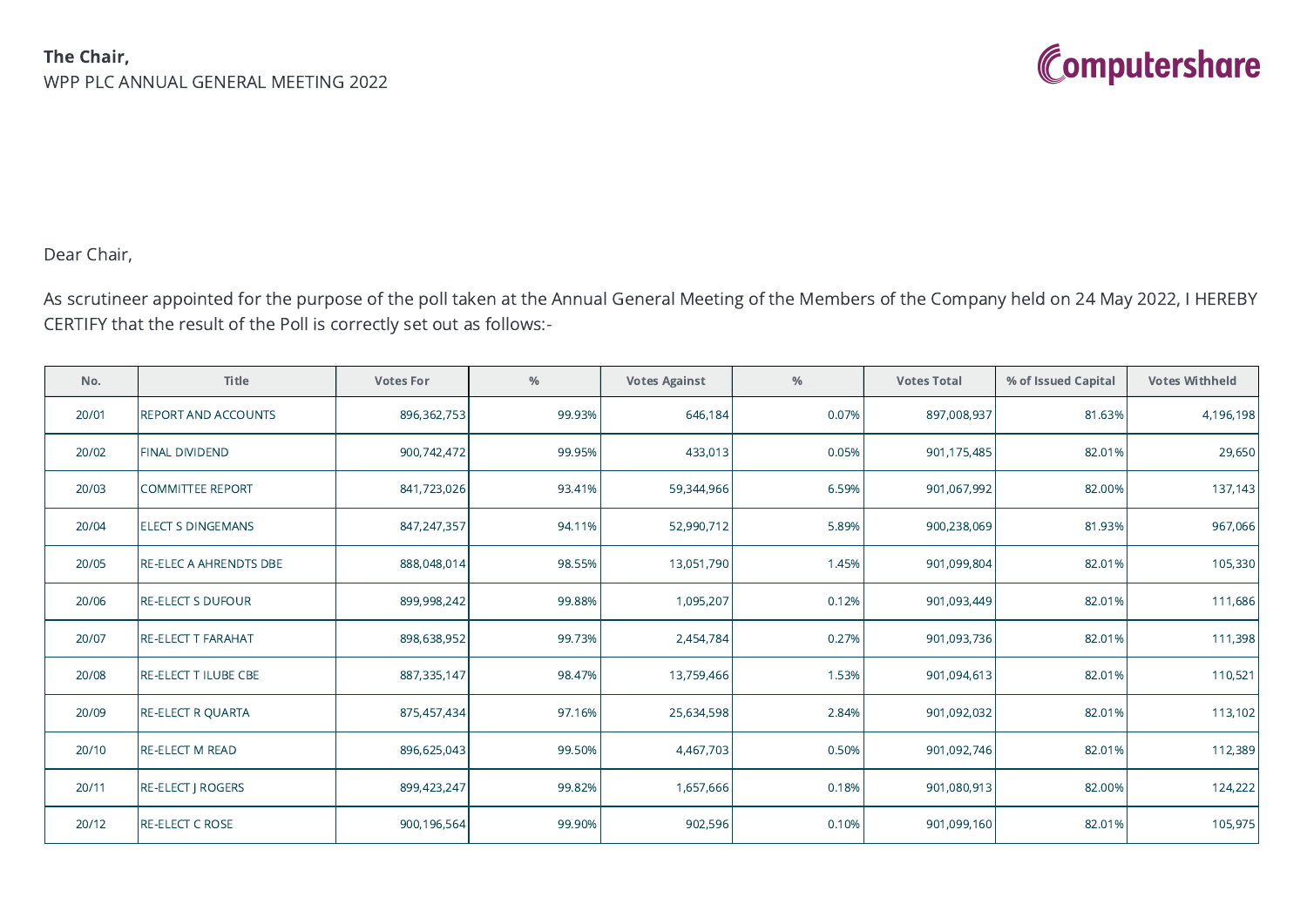

## Dear Chair,

As scrutineer appointed for the purpose of the poll taken at the Annual General Meeting of the Members of the Company held on 24 May 2022, I HEREBY CERTIFY that the result of the Poll is correctly set out as follows:-

| No.   | Title                      | <b>Votes For</b> | $\%$   | <b>Votes Against</b> | $\%$  | <b>Votes Total</b> | % of Issued Capital | <b>Votes Withheld</b> |
|-------|----------------------------|------------------|--------|----------------------|-------|--------------------|---------------------|-----------------------|
| 20/01 | <b>REPORT AND ACCOUNTS</b> | 896,362,753      | 99.93% | 646,184              | 0.07% | 897,008,937        | 81.63%              | 4,196,198             |
| 20/02 | <b>FINAL DIVIDEND</b>      | 900,742,472      | 99.95% | 433,013              | 0.05% | 901,175,485        | 82.01%              | 29,650                |
| 20/03 | <b>COMMITTEE REPORT</b>    | 841,723,026      | 93.41% | 59,344,966           | 6.59% | 901,067,992        | 82.00%              | 137,143               |
| 20/04 | <b>ELECT S DINGEMANS</b>   | 847,247,357      | 94.11% | 52,990,712           | 5.89% | 900,238,069        | 81.93%              | 967,066               |
| 20/05 | RE-ELEC A AHRENDTS DBE     | 888,048,014      | 98.55% | 13,051,790           | 1.45% | 901,099,804        | 82.01%              | 105,330               |
| 20/06 | <b>RE-ELECT S DUFOUR</b>   | 899,998,242      | 99.88% | 1,095,207            | 0.12% | 901,093,449        | 82.01%              | 111,686               |
| 20/07 | <b>RE-ELECT T FARAHAT</b>  | 898,638,952      | 99.73% | 2,454,784            | 0.27% | 901,093,736        | 82.01%              | 111,398               |
| 20/08 | RE-ELECT T ILUBE CBE       | 887,335,147      | 98.47% | 13,759,466           | 1.53% | 901,094,613        | 82.01%              | 110,521               |
| 20/09 | <b>RE-ELECT R QUARTA</b>   | 875,457,434      | 97.16% | 25,634,598           | 2.84% | 901,092,032        | 82.01%              | 113,102               |
| 20/10 | <b>RE-ELECT M READ</b>     | 896,625,043      | 99.50% | 4,467,703            | 0.50% | 901,092,746        | 82.01%              | 112,389               |
| 20/11 | <b>RE-ELECT   ROGERS</b>   | 899,423,247      | 99.82% | 1,657,666            | 0.18% | 901,080,913        | 82.00%              | 124,222               |
| 20/12 | <b>RE-ELECT C ROSE</b>     | 900,196,564      | 99.90% | 902,596              | 0.10% | 901,099,160        | 82.01%              | 105,975               |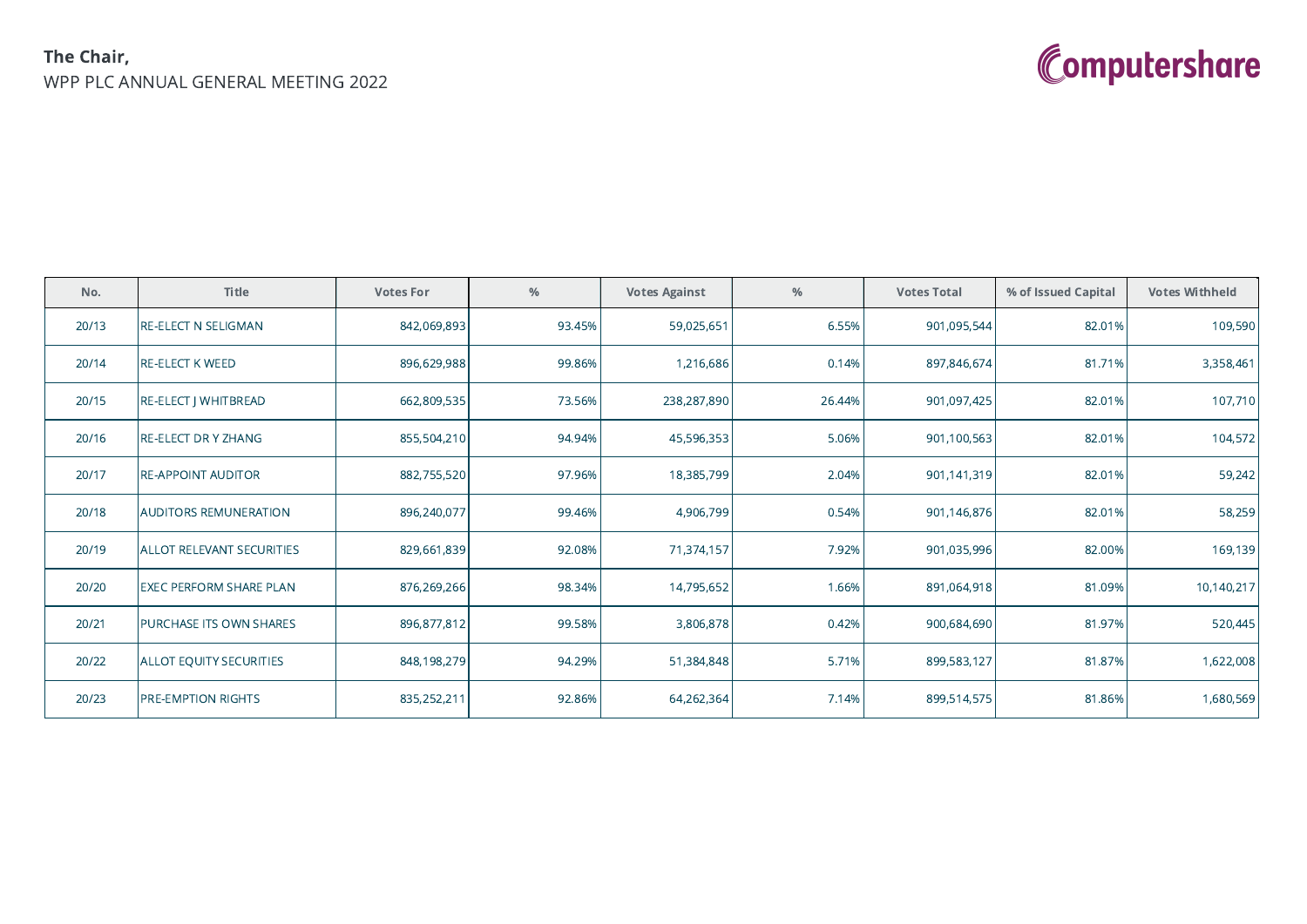## The Chair, WPP PLC ANNUAL GENERAL MEETING 2022



| No.   | Title                            | <b>Votes For</b> | $\%$   | <b>Votes Against</b> | $\%$   | <b>Votes Total</b> | % of Issued Capital | <b>Votes Withheld</b> |
|-------|----------------------------------|------------------|--------|----------------------|--------|--------------------|---------------------|-----------------------|
| 20/13 | <b>RE-ELECT N SELIGMAN</b>       | 842,069,893      | 93.45% | 59,025,651           | 6.55%  | 901,095,544        | 82.01%              | 109,590               |
| 20/14 | <b>RE-ELECT K WEED</b>           | 896,629,988      | 99.86% | 1,216,686            | 0.14%  | 897,846,674        | 81.71%              | 3,358,461             |
| 20/15 | RE-ELECT   WHITBREAD             | 662,809,535      | 73.56% | 238,287,890          | 26.44% | 901,097,425        | 82.01%              | 107,710               |
| 20/16 | <b>RE-ELECT DR Y ZHANG</b>       | 855,504,210      | 94.94% | 45,596,353           | 5.06%  | 901,100,563        | 82.01%              | 104,572               |
| 20/17 | <b>RE-APPOINT AUDITOR</b>        | 882,755,520      | 97.96% | 18,385,799           | 2.04%  | 901,141,319        | 82.01%              | 59,242                |
| 20/18 | <b>AUDITORS REMUNERATION</b>     | 896,240,077      | 99.46% | 4,906,799            | 0.54%  | 901,146,876        | 82.01%              | 58,259                |
| 20/19 | <b>ALLOT RELEVANT SECURITIES</b> | 829,661,839      | 92.08% | 71,374,157           | 7.92%  | 901,035,996        | 82.00%              | 169,139               |
| 20/20 | <b>EXEC PERFORM SHARE PLAN</b>   | 876,269,266      | 98.34% | 14,795,652           | 1.66%  | 891,064,918        | 81.09%              | 10,140,217            |
| 20/21 | PURCHASE ITS OWN SHARES          | 896,877,812      | 99.58% | 3,806,878            | 0.42%  | 900,684,690        | 81.97%              | 520,445               |
| 20/22 | <b>ALLOT EQUITY SECURITIES</b>   | 848,198,279      | 94.29% | 51,384,848           | 5.71%  | 899,583,127        | 81.87%              | 1,622,008             |
| 20/23 | PRE-EMPTION RIGHTS               | 835,252,211      | 92.86% | 64,262,364           | 7.14%  | 899,514,575        | 81.86%              | 1,680,569             |